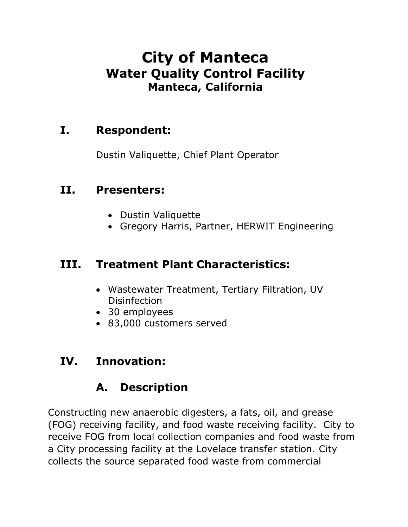# **City of Manteca Water Quality Control Facility Manteca, California**

### **I. Respondent:**

Dustin Valiquette, Chief Plant Operator

#### **II. Presenters:**

- Dustin Valiquette
- Gregory Harris, Partner, HERWIT Engineering

#### **III. Treatment Plant Characteristics:**

- Wastewater Treatment, Tertiary Filtration, UV Disinfection
- 30 employees
- 83,000 customers served

### **IV. Innovation:**

### **A. Description**

Constructing new anaerobic digesters, a fats, oil, and grease (FOG) receiving facility, and food waste receiving facility. City to receive FOG from local collection companies and food waste from a City processing facility at the Lovelace transfer station. City collects the source separated food waste from commercial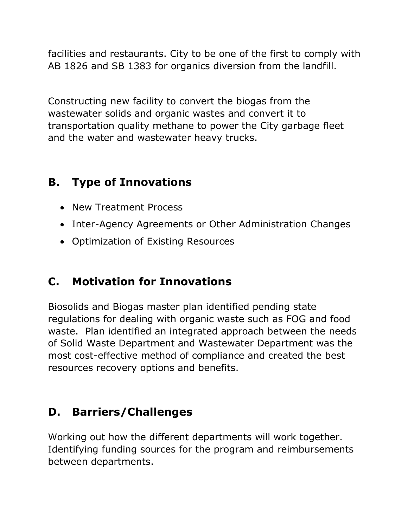facilities and restaurants. City to be one of the first to comply with AB 1826 and SB 1383 for organics diversion from the landfill.

Constructing new facility to convert the biogas from the wastewater solids and organic wastes and convert it to transportation quality methane to power the City garbage fleet and the water and wastewater heavy trucks.

# **B. Type of Innovations**

- New Treatment Process
- Inter-Agency Agreements or Other Administration Changes
- Optimization of Existing Resources

### **C. Motivation for Innovations**

Biosolids and Biogas master plan identified pending state regulations for dealing with organic waste such as FOG and food waste. Plan identified an integrated approach between the needs of Solid Waste Department and Wastewater Department was the most cost-effective method of compliance and created the best resources recovery options and benefits.

### **D. Barriers/Challenges**

Working out how the different departments will work together. Identifying funding sources for the program and reimbursements between departments.